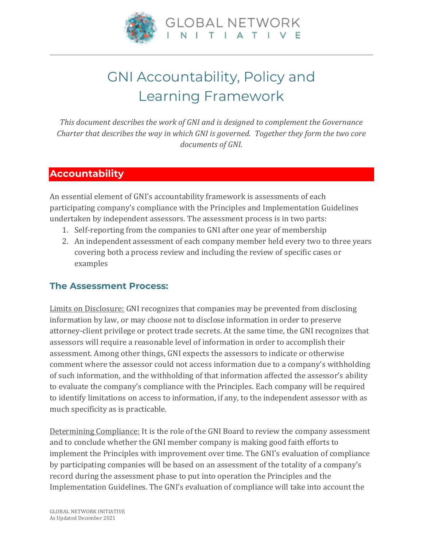

# GNI Accountability, Policy and Learning Framework

*This document describes the work of GNI and is designed to complement the Governance Charter that describes the way in which GNI is governed. Together they form the two core documents of GNI.*

## **Accountability**

An essential element of GNI's accountability framework is assessments of each participating company's compliance with the Principles and Implementation Guidelines undertaken by independent assessors. The assessment process is in two parts:

- 1. Self-reporting from the companies to GNI after one year of membership
- 2. An independent assessment of each company member held every two to three years covering both a process review and including the review of specific cases or examples

### **The Assessment Process:**

Limits on Disclosure: GNI recognizes that companies may be prevented from disclosing information by law, or may choose not to disclose information in order to preserve attorney-client privilege or protect trade secrets. At the same time, the GNI recognizes that assessors will require a reasonable level of information in order to accomplish their assessment. Among other things, GNI expects the assessors to indicate or otherwise comment where the assessor could not access information due to a company's withholding of such information, and the withholding of that information affected the assessor's ability to evaluate the company's compliance with the Principles. Each company will be required to identify limitations on access to information, if any, to the independent assessor with as much specificity as is practicable.

Determining Compliance: It is the role of the GNI Board to review the company assessment and to conclude whether the GNI member company is making good faith efforts to implement the Principles with improvement over time. The GNI's evaluation of compliance by participating companies will be based on an assessment of the totality of a company's record during the assessment phase to put into operation the Principles and the Implementation Guidelines. The GNI's evaluation of compliance will take into account the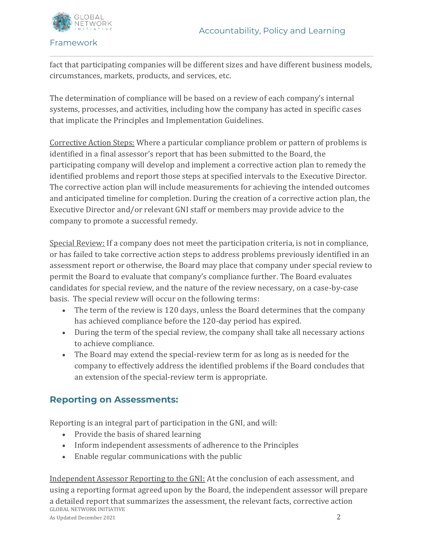

fact that participating companies will be different sizes and have different business models, circumstances, markets, products, and services, etc.

The determination of compliance will be based on a review of each company's internal systems, processes, and activities, including how the company has acted in specific cases that implicate the Principles and Implementation Guidelines.

Corrective Action Steps: Where a particular compliance problem or pattern of problems is identified in a final assessor's report that has been submitted to the Board, the participating company will develop and implement a corrective action plan to remedy the identified problems and report those steps at specified intervals to the Executive Director. The corrective action plan will include measurements for achieving the intended outcomes and anticipated timeline for completion. During the creation of a corrective action plan, the Executive Director and/or relevant GNI staff or members may provide advice to the company to promote a successful remedy.

Special Review: If a company does not meet the participation criteria, is not in compliance, or has failed to take corrective action steps to address problems previously identified in an assessment report or otherwise, the Board may place that company under special review to permit the Board to evaluate that company's compliance further. The Board evaluates candidates for special review, and the nature of the review necessary, on a case-by-case basis. The special review will occur on the following terms:

- The term of the review is 120 days, unless the Board determines that the company has achieved compliance before the 120-day period has expired.
- During the term of the special review, the company shall take all necessary actions to achieve compliance.
- The Board may extend the special-review term for as long as is needed for the company to effectively address the identified problems if the Board concludes that an extension of the special-review term is appropriate.

## **Reporting on Assessments:**

Reporting is an integral part of participation in the GNI, and will:

- Provide the basis of shared learning
- Inform independent assessments of adherence to the Principles
- Enable regular communications with the public

GLOBAL NETWORK INITIATIVE As Updated December 2021 2 Independent Assessor Reporting to the GNI: At the conclusion of each assessment, and using a reporting format agreed upon by the Board, the independent assessor will prepare a detailed report that summarizes the assessment, the relevant facts, corrective action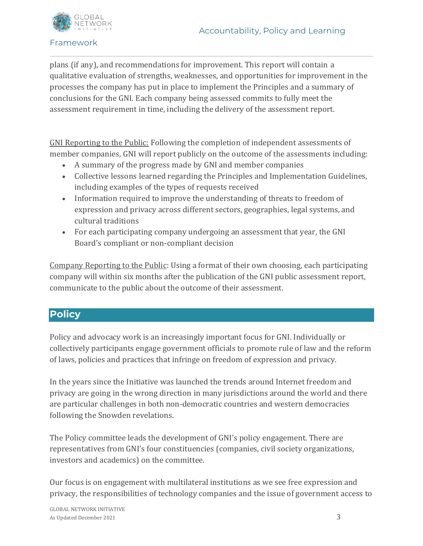

plans (if any), and recommendations for improvement. This report will contain a qualitative evaluation of strengths, weaknesses, and opportunities for improvement in the processes the company has put in place to implement the Principles and a summary of conclusions for the GNI. Each company being assessed commits to fully meet the assessment requirement in time, including the delivery of the assessment report.

GNI Reporting to the Public: Following the completion of independent assessments of member companies, GNI will report publicly on the outcome of the assessments including:

- A summary of the progress made by GNI and member companies
- Collective lessons learned regarding the Principles and Implementation Guidelines, including examples of the types of requests received
- Information required to improve the understanding of threats to freedom of expression and privacy across different sectors, geographies, legal systems, and cultural traditions
- For each participating company undergoing an assessment that year, the GNI Board's compliant or non-compliant decision

Company Reporting to the Public: Using a format of their own choosing, each participating company will within six months after the publication of the GNI public assessment report, communicate to the public about the outcome of their assessment.

## **Policy**

Policy and advocacy work is an increasingly important focus for GNI. Individually or collectively participants engage government officials to promote rule of law and the reform of laws, policies and practices that infringe on freedom of expression and privacy.

In the years since the Initiative was launched the trends around Internet freedom and privacy are going in the wrong direction in many jurisdictions around the world and there are particular challenges in both non-democratic countries and western democracies following the Snowden revelations.

The Policy committee leads the development of GNI's policy engagement. There are representatives from GNI's four constituencies (companies, civil society organizations, investors and academics) on the committee.

Our focus is on engagement with multilateral institutions as we see free expression and privacy, the responsibilities of technology companies and the issue of government access to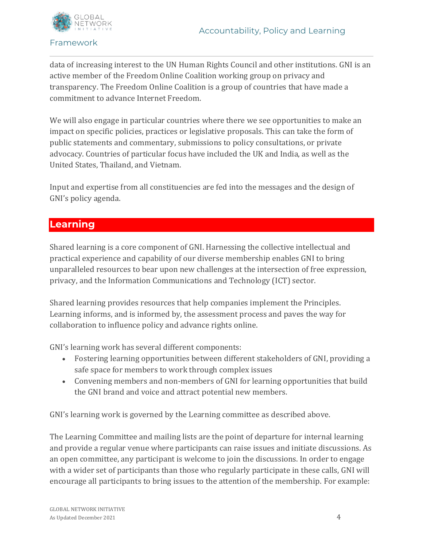

data of increasing interest to the UN Human Rights Council and other institutions. GNI is an active member of the Freedom Online Coalition working group on privacy and transparency. The Freedom Online Coalition is a group of countries that have made a commitment to advance Internet Freedom.

We will also engage in particular countries where there we see opportunities to make an impact on specific policies, practices or legislative proposals. This can take the form of public statements and commentary, submissions to policy consultations, or private advocacy. Countries of particular focus have included the UK and India, as well as the United States, Thailand, and Vietnam.

Input and expertise from all constituencies are fed into the messages and the design of GNI's policy agenda.

## **Learning**

Shared learning is a core component of GNI. Harnessing the collective intellectual and practical experience and capability of our diverse membership enables GNI to bring unparalleled resources to bear upon new challenges at the intersection of free expression, privacy, and the Information Communications and Technology (ICT) sector.

Shared learning provides resources that help companies implement the Principles. Learning informs, and is informed by, the assessment process and paves the way for collaboration to influence policy and advance rights online.

GNI's learning work has several different components:

- Fostering learning opportunities between different stakeholders of GNI, providing a safe space for members to work through complex issues
- Convening members and non-members of GNI for learning opportunities that build the GNI brand and voice and attract potential new members.

GNI's learning work is governed by the Learning committee as described above.

The Learning Committee and mailing lists are the point of departure for internal learning and provide a regular venue where participants can raise issues and initiate discussions. As an open committee, any participant is welcome to join the discussions. In order to engage with a wider set of participants than those who regularly participate in these calls, GNI will encourage all participants to bring issues to the attention of the membership. For example: